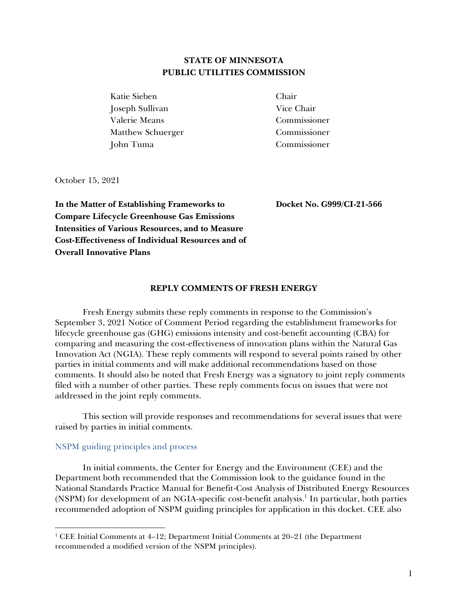# **STATE OF MINNESOTA PUBLIC UTILITIES COMMISSION**

Katie Sieben Chair Joseph Sullivan Vice Chair Valerie Means Commissioner Matthew Schuerger Commissioner John Tuma Commissioner

October 15, 2021

**In the Matter of Establishing Frameworks to Compare Lifecycle Greenhouse Gas Emissions Intensities of Various Resources, and to Measure Cost-Effectiveness of Individual Resources and of Overall Innovative Plans**

**Docket No. G999/CI-21-566**

#### **REPLY COMMENTS OF FRESH ENERGY**

Fresh Energy submits these reply comments in response to the Commission's September 3, 2021 Notice of Comment Period regarding the establishment frameworks for lifecycle greenhouse gas (GHG) emissions intensity and cost-benefit accounting (CBA) for comparing and measuring the cost-effectiveness of innovation plans within the Natural Gas Innovation Act (NGIA). These reply comments will respond to several points raised by other parties in initial comments and will make additional recommendations based on those comments. It should also be noted that Fresh Energy was a signatory to joint reply comments filed with a number of other parties. These reply comments focus on issues that were not addressed in the joint reply comments.

This section will provide responses and recommendations for several issues that were raised by parties in initial comments.

#### NSPM guiding principles and process

In initial comments, the Center for Energy and the Environment (CEE) and the Department both recommended that the Commission look to the guidance found in the National Standards Practice Manual for Benefit-Cost Analysis of Distributed Energy Resources (NSPM) for development of an NGIA-specific cost-benefit analysis. 1 In particular, both parties recommended adoption of NSPM guiding principles for application in this docket. CEE also

<sup>&</sup>lt;sup>1</sup> CEE Initial Comments at 4–12; Department Initial Comments at 20–21 (the Department recommended a modified version of the NSPM principles).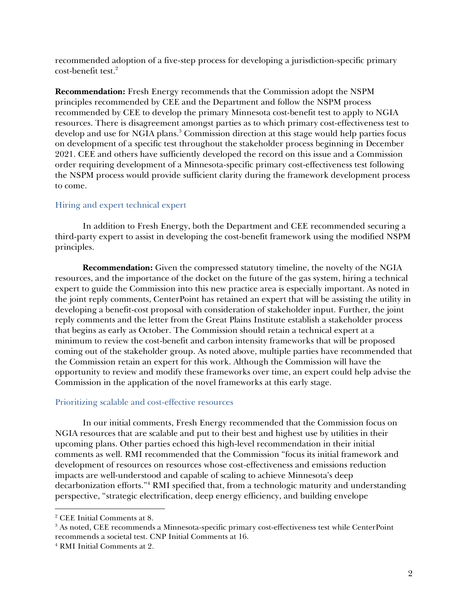recommended adoption of a five-step process for developing a jurisdiction-specific primary cost-benefit test.<sup>2</sup>

**Recommendation:** Fresh Energy recommends that the Commission adopt the NSPM principles recommended by CEE and the Department and follow the NSPM process recommended by CEE to develop the primary Minnesota cost-benefit test to apply to NGIA resources. There is disagreement amongst parties as to which primary cost-effectiveness test to develop and use for NGIA plans.<sup>3</sup> Commission direction at this stage would help parties focus on development of a specific test throughout the stakeholder process beginning in December 2021. CEE and others have sufficiently developed the record on this issue and a Commission order requiring development of a Minnesota-specific primary cost-effectiveness test following the NSPM process would provide sufficient clarity during the framework development process to come.

## Hiring and expert technical expert

In addition to Fresh Energy, both the Department and CEE recommended securing a third-party expert to assist in developing the cost-benefit framework using the modified NSPM principles.

**Recommendation:** Given the compressed statutory timeline, the novelty of the NGIA resources, and the importance of the docket on the future of the gas system, hiring a technical expert to guide the Commission into this new practice area is especially important. As noted in the joint reply comments, CenterPoint has retained an expert that will be assisting the utility in developing a benefit-cost proposal with consideration of stakeholder input. Further, the joint reply comments and the letter from the Great Plains Institute establish a stakeholder process that begins as early as October. The Commission should retain a technical expert at a minimum to review the cost-benefit and carbon intensity frameworks that will be proposed coming out of the stakeholder group. As noted above, multiple parties have recommended that the Commission retain an expert for this work. Although the Commission will have the opportunity to review and modify these frameworks over time, an expert could help advise the Commission in the application of the novel frameworks at this early stage.

## Prioritizing scalable and cost-effective resources

In our initial comments, Fresh Energy recommended that the Commission focus on NGIA resources that are scalable and put to their best and highest use by utilities in their upcoming plans. Other parties echoed this high-level recommendation in their initial comments as well. RMI recommended that the Commission "focus its initial framework and development of resources on resources whose cost-effectiveness and emissions reduction impacts are well-understood and capable of scaling to achieve Minnesota's deep decarbonization efforts."<sup>4</sup> RMI specified that, from a technologic maturity and understanding perspective, "strategic electrification, deep energy efficiency, and building envelope

<sup>2</sup> CEE Initial Comments at 8.

<sup>&</sup>lt;sup>3</sup> As noted, CEE recommends a Minnesota-specific primary cost-effectiveness test while CenterPoint recommends a societal test. CNP Initial Comments at 16.

<sup>4</sup> RMI Initial Comments at 2.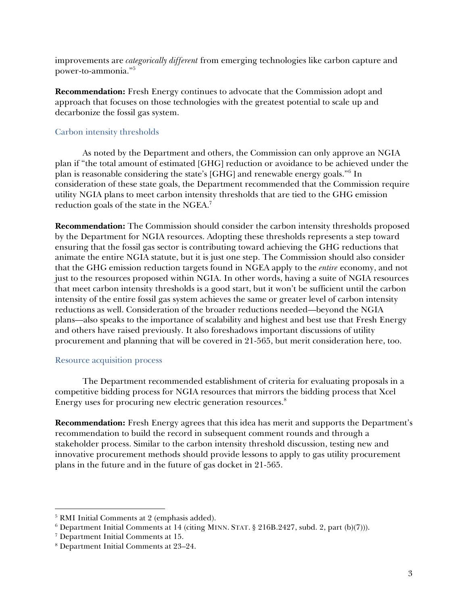improvements are *categorically different* from emerging technologies like carbon capture and power-to-ammonia."<sup>5</sup>

**Recommendation:** Fresh Energy continues to advocate that the Commission adopt and approach that focuses on those technologies with the greatest potential to scale up and decarbonize the fossil gas system.

## Carbon intensity thresholds

As noted by the Department and others, the Commission can only approve an NGIA plan if "the total amount of estimated [GHG] reduction or avoidance to be achieved under the plan is reasonable considering the state's [GHG] and renewable energy goals."<sup>6</sup> In consideration of these state goals, the Department recommended that the Commission require utility NGIA plans to meet carbon intensity thresholds that are tied to the GHG emission reduction goals of the state in the NGEA.<sup>7</sup>

**Recommendation:** The Commission should consider the carbon intensity thresholds proposed by the Department for NGIA resources. Adopting these thresholds represents a step toward ensuring that the fossil gas sector is contributing toward achieving the GHG reductions that animate the entire NGIA statute, but it is just one step. The Commission should also consider that the GHG emission reduction targets found in NGEA apply to the *entire* economy, and not just to the resources proposed within NGIA. In other words, having a suite of NGIA resources that meet carbon intensity thresholds is a good start, but it won't be sufficient until the carbon intensity of the entire fossil gas system achieves the same or greater level of carbon intensity reductions as well. Consideration of the broader reductions needed—beyond the NGIA plans—also speaks to the importance of scalability and highest and best use that Fresh Energy and others have raised previously. It also foreshadows important discussions of utility procurement and planning that will be covered in 21-565, but merit consideration here, too.

## Resource acquisition process

The Department recommended establishment of criteria for evaluating proposals in a competitive bidding process for NGIA resources that mirrors the bidding process that Xcel Energy uses for procuring new electric generation resources.<sup>8</sup>

**Recommendation:** Fresh Energy agrees that this idea has merit and supports the Department's recommendation to build the record in subsequent comment rounds and through a stakeholder process. Similar to the carbon intensity threshold discussion, testing new and innovative procurement methods should provide lessons to apply to gas utility procurement plans in the future and in the future of gas docket in 21-565.

<sup>5</sup> RMI Initial Comments at 2 (emphasis added).

<sup>&</sup>lt;sup>6</sup> Department Initial Comments at 14 (citing MINN. STAT. § 216B.2427, subd. 2, part (b)(7))).

<sup>7</sup> Department Initial Comments at 15.

<sup>8</sup> Department Initial Comments at 23–24.